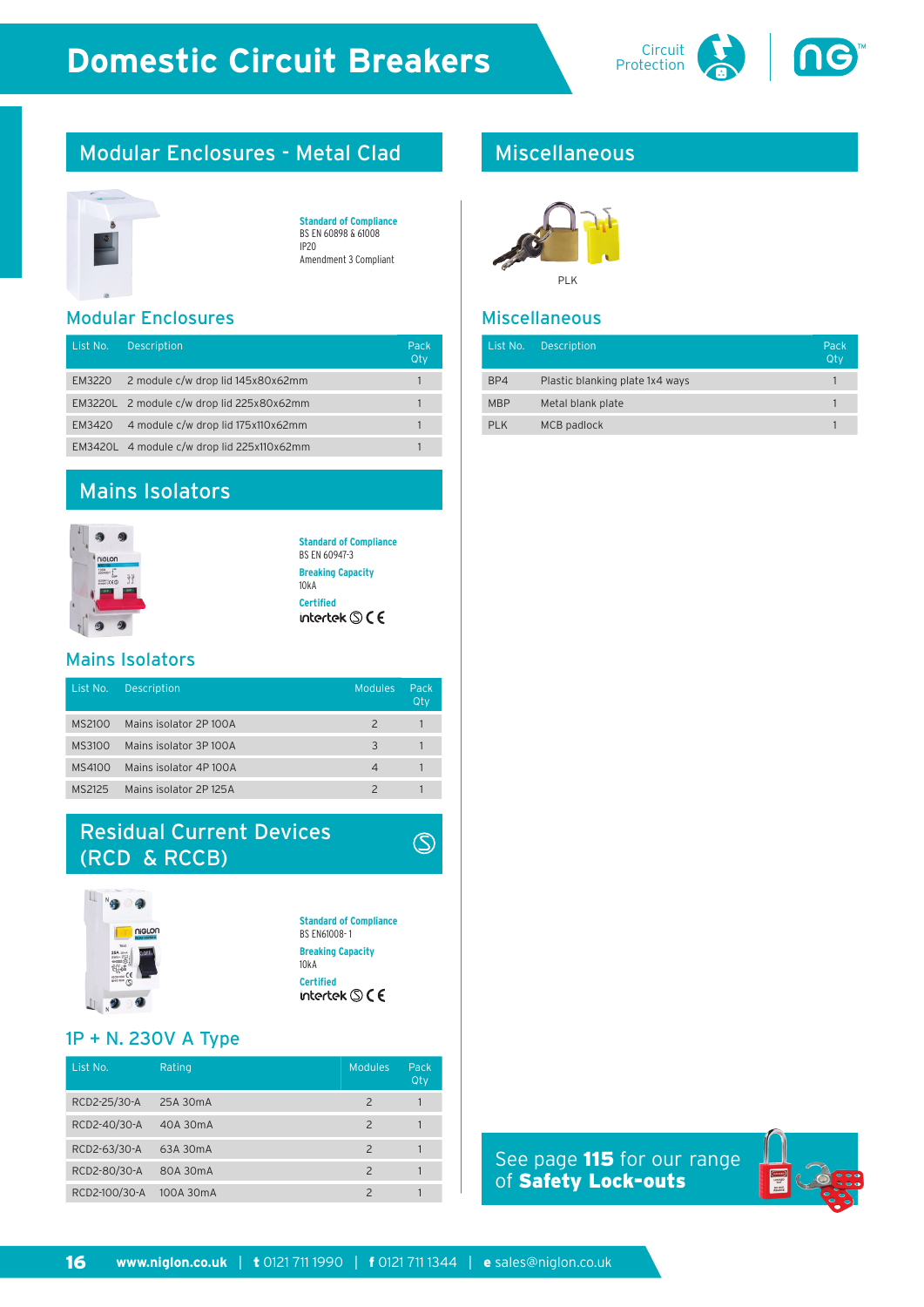

# Modular Enclosures - Metal Clad



| <b>Standard of Compliance</b> |
|-------------------------------|
| BS EN 60898 & 61008           |
| IP <sub>20</sub>              |
| Amendment 3 Compliant         |

Modular Enclosures

| List No. | <b>Description</b>                         | Pack<br>Qty |
|----------|--------------------------------------------|-------------|
| EM3220   | 2 module c/w drop lid 145x80x62mm          |             |
|          | EM3220L 2 module c/w drop lid 225x80x62mm  |             |
| EM3420   | 4 module c/w drop lid 175x110x62mm         |             |
|          | EM3420L 4 module c/w drop lid 225x110x62mm |             |

## Mains Isolators



**Standard of Compliance** BS EN 60947-3 **Breaking Capacity** 10kA **Certified**<br>intertek **S** C E

#### Mains Isolators

| List No. | <b>Description</b>    | <b>Modules</b>           | Pack<br>Qty |
|----------|-----------------------|--------------------------|-------------|
| MS2100   | Mains isolator 2P100A | $\overline{\phantom{a}}$ |             |
| MS3100   | Mains isolator 3P100A | 3                        |             |
| MS4100   | Mains isolator 4P100A |                          |             |
| MS2125   | Mains isolator 2P125A |                          |             |

## Residual Current Devices (RCD & RCCB)



**Standard of Compliance** BS EN61008- 1 **Breaking Capacity** 10kA **Certified**<br>intertek **S** C E

 $\circledS$ 

#### 1P + N. 230V A Type

| List No.      | Rating    | <b>Modules</b>           | Pack<br>Qty |
|---------------|-----------|--------------------------|-------------|
| RCD2-25/30-A  | 25A 30mA  | $\overline{\phantom{0}}$ |             |
| RCD2-40/30-A  | 40A 30mA  | $\mathcal{P}$            |             |
| RCD2-63/30-A  | 63A 30mA  | $\mathcal{P}$            |             |
| RCD2-80/30-A  | 80A 30mA  | $\mathcal{P}$            |             |
| RCD2-100/30-A | 100A 30mA |                          |             |

## Miscellaneous



#### Miscellaneous

| List No.   | <b>Description</b>              | Pack<br>Qty |
|------------|---------------------------------|-------------|
| BP4        | Plastic blanking plate 1x4 ways |             |
| <b>MBP</b> | Metal blank plate               |             |
| PLK        | MCB padlock                     |             |

See page 115 for our range of Safety Lock-outs